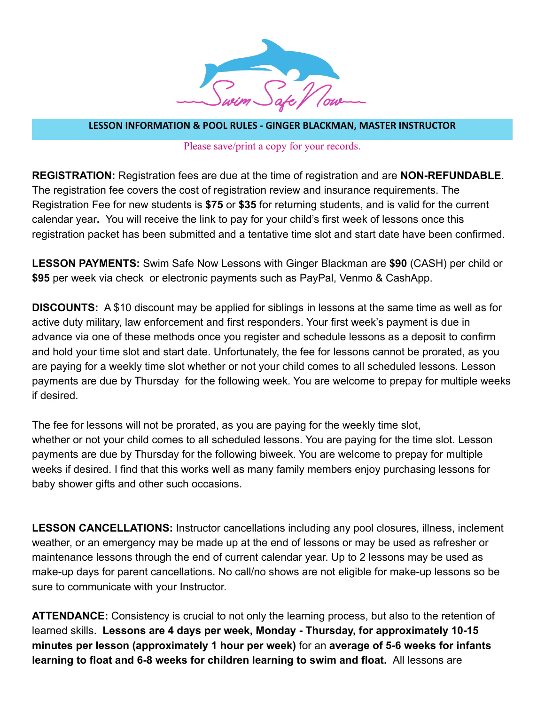

**LESSON INFORMATION & POOL RULES - GINGER BLACKMAN, MASTER INSTRUCTOR**

Please save/print a copy for your records.

**REGISTRATION:** Registration fees are due at the time of registration and are **NON-REFUNDABLE**. The registration fee covers the cost of registration review and insurance requirements. The Registration Fee for new students is **\$75** or **\$35** for returning students, and is valid for the current calendar year**.** You will receive the link to pay for your child's first week of lessons once this registration packet has been submitted and a tentative time slot and start date have been confirmed.

**LESSON PAYMENTS:** Swim Safe Now Lessons with Ginger Blackman are **\$90** (CASH) per child or **\$95** per week via check or electronic payments such as PayPal, Venmo & CashApp.

**DISCOUNTS:** A \$10 discount may be applied for siblings in lessons at the same time as well as for active duty military, law enforcement and first responders. Your first week's payment is due in advance via one of these methods once you register and schedule lessons as a deposit to confirm and hold your time slot and start date. Unfortunately, the fee for lessons cannot be prorated, as you are paying for a weekly time slot whether or not your child comes to all scheduled lessons. Lesson payments are due by Thursday for the following week. You are welcome to prepay for multiple weeks if desired.

The fee for lessons will not be prorated, as you are paying for the weekly time slot, whether or not your child comes to all scheduled lessons. You are paying for the time slot. Lesson payments are due by Thursday for the following biweek. You are welcome to prepay for multiple weeks if desired. I find that this works well as many family members enjoy purchasing lessons for baby shower gifts and other such occasions.

**LESSON CANCELLATIONS:** Instructor cancellations including any pool closures, illness, inclement weather, or an emergency may be made up at the end of lessons or may be used as refresher or maintenance lessons through the end of current calendar year. Up to 2 lessons may be used as make-up days for parent cancellations. No call/no shows are not eligible for make-up lessons so be sure to communicate with your Instructor.

**ATTENDANCE:** Consistency is crucial to not only the learning process, but also to the retention of learned skills. **Lessons are 4 days per week, Monday - Thursday, for approximately 10-15 minutes per lesson (approximately 1 hour per week)** for an **average of 5-6 weeks for infants learning to float and 6-8 weeks for children learning to swim and float.** All lessons are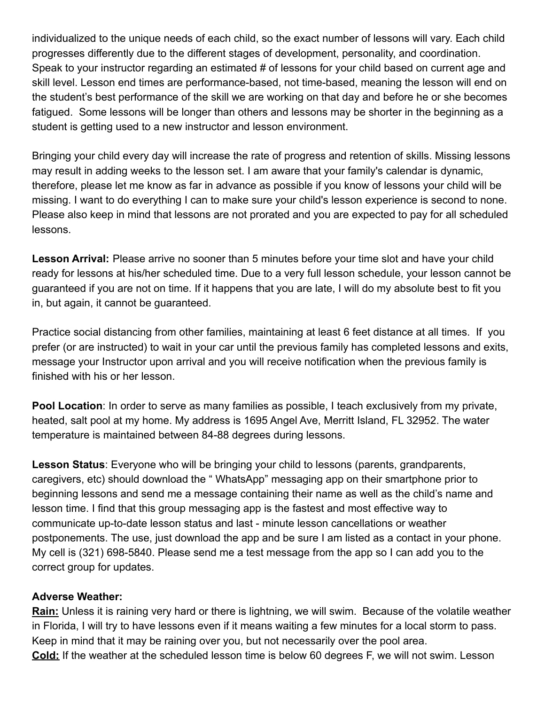individualized to the unique needs of each child, so the exact number of lessons will vary. Each child progresses differently due to the different stages of development, personality, and coordination. Speak to your instructor regarding an estimated # of lessons for your child based on current age and skill level. Lesson end times are performance-based, not time-based, meaning the lesson will end on the student's best performance of the skill we are working on that day and before he or she becomes fatigued. Some lessons will be longer than others and lessons may be shorter in the beginning as a student is getting used to a new instructor and lesson environment.

Bringing your child every day will increase the rate of progress and retention of skills. Missing lessons may result in adding weeks to the lesson set. I am aware that your family's calendar is dynamic, therefore, please let me know as far in advance as possible if you know of lessons your child will be missing. I want to do everything I can to make sure your child's lesson experience is second to none. Please also keep in mind that lessons are not prorated and you are expected to pay for all scheduled lessons.

**Lesson Arrival:** Please arrive no sooner than 5 minutes before your time slot and have your child ready for lessons at his/her scheduled time. Due to a very full lesson schedule, your lesson cannot be guaranteed if you are not on time. If it happens that you are late, I will do my absolute best to fit you in, but again, it cannot be guaranteed.

Practice social distancing from other families, maintaining at least 6 feet distance at all times. If you prefer (or are instructed) to wait in your car until the previous family has completed lessons and exits, message your Instructor upon arrival and you will receive notification when the previous family is finished with his or her lesson.

**Pool Location**: In order to serve as many families as possible, I teach exclusively from my private, heated, salt pool at my home. My address is 1695 Angel Ave, Merritt Island, FL 32952. The water temperature is maintained between 84-88 degrees during lessons.

**Lesson Status**: Everyone who will be bringing your child to lessons (parents, grandparents, caregivers, etc) should download the " WhatsApp" messaging app on their smartphone prior to beginning lessons and send me a message containing their name as well as the child's name and lesson time. I find that this group messaging app is the fastest and most effective way to communicate up-to-date lesson status and last - minute lesson cancellations or weather postponements. The use, just download the app and be sure I am listed as a contact in your phone. My cell is (321) 698-5840. Please send me a test message from the app so I can add you to the correct group for updates.

## **Adverse Weather:**

**Rain:** Unless it is raining very hard or there is lightning, we will swim. Because of the volatile weather in Florida, I will try to have lessons even if it means waiting a few minutes for a local storm to pass. Keep in mind that it may be raining over you, but not necessarily over the pool area. **Cold:** If the weather at the scheduled lesson time is below 60 degrees F, we will not swim. Lesson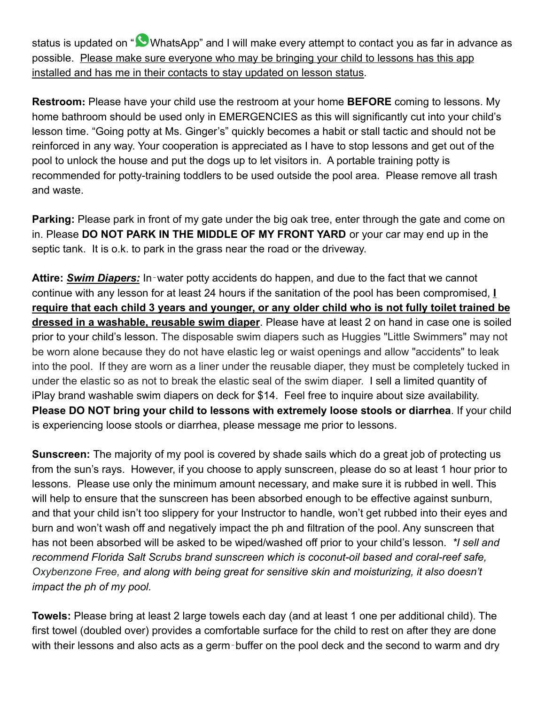status is updated on "**W** WhatsApp" and I will make every attempt to contact you as far in advance as possible. Please make sure everyone who may be bringing your child to lessons has this app installed and has me in their contacts to stay updated on lesson status.

**Restroom:** Please have your child use the restroom at your home **BEFORE** coming to lessons. My home bathroom should be used only in EMERGENCIES as this will significantly cut into your child's lesson time. "Going potty at Ms. Ginger's" quickly becomes a habit or stall tactic and should not be reinforced in any way. Your cooperation is appreciated as I have to stop lessons and get out of the pool to unlock the house and put the dogs up to let visitors in. A portable training potty is recommended for potty-training toddlers to be used outside the pool area. Please remove all trash and waste.

**Parking:** Please park in front of my gate under the big oak tree, enter through the gate and come on in. Please **DO NOT PARK IN THE MIDDLE OF MY FRONT YARD** or your car may end up in the septic tank. It is o.k. to park in the grass near the road or the driveway.

**Attire:** *Swim Diapers:* In‐water potty accidents do happen, and due to the fact that we cannot continue with any lesson for at least 24 hours if the sanitation of the pool has been compromised, **I require that each child 3 years and younger, or any older child who is not fully toilet trained be dressed in a washable, reusable swim diaper**. Please have at least 2 on hand in case one is soiled prior to your child's lesson. The disposable swim diapers such as Huggies "Little Swimmers" may not be worn alone because they do not have elastic leg or waist openings and allow "accidents" to leak into the pool. If they are worn as a liner under the reusable diaper, they must be completely tucked in under the elastic so as not to break the elastic seal of the swim diaper. I sell a limited quantity of iPlay brand washable swim diapers on deck for \$14. Feel free to inquire about size availability. **Please DO NOT bring your child to lessons with extremely loose stools or diarrhea**. If your child is experiencing loose stools or diarrhea, please message me prior to lessons.

**Sunscreen:** The majority of my pool is covered by shade sails which do a great job of protecting us from the sun's rays. However, if you choose to apply sunscreen, please do so at least 1 hour prior to lessons. Please use only the minimum amount necessary, and make sure it is rubbed in well. This will help to ensure that the sunscreen has been absorbed enough to be effective against sunburn, and that your child isn't too slippery for your Instructor to handle, won't get rubbed into their eyes and burn and won't wash off and negatively impact the ph and filtration of the pool. Any sunscreen that has not been absorbed will be asked to be wiped/washed off prior to your child's lesson. *\*I sell and recommend Florida Salt Scrubs brand sunscreen which is coconut-oil based and coral-reef safe, Oxybenzone Free, and along with being great for sensitive skin and moisturizing, it also doesn't impact the ph of my pool.*

**Towels:** Please bring at least 2 large towels each day (and at least 1 one per additional child). The first towel (doubled over) provides a comfortable surface for the child to rest on after they are done with their lessons and also acts as a germ-buffer on the pool deck and the second to warm and dry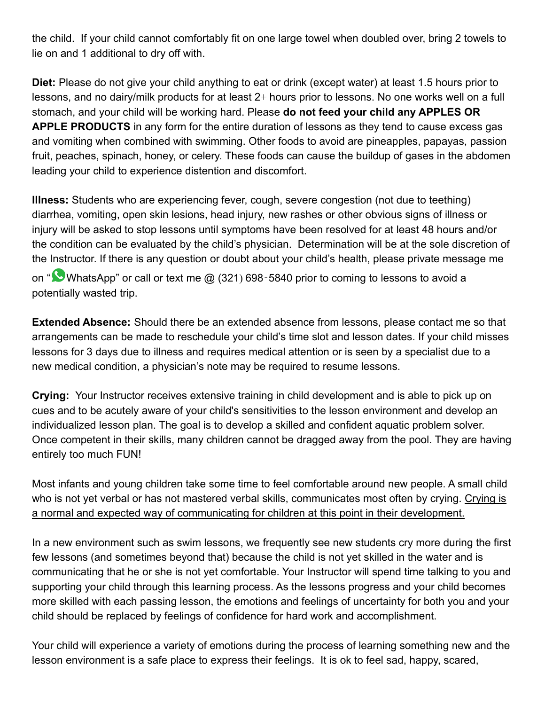the child. If your child cannot comfortably fit on one large towel when doubled over, bring 2 towels to lie on and 1 additional to dry off with.

**Diet:** Please do not give your child anything to eat or drink (except water) at least 1.5 hours prior to lessons, and no dairy/milk products for at least 2+ hours prior to lessons. No one works well on a full stomach, and your child will be working hard. Please **do not feed your child any APPLES OR APPLE PRODUCTS** in any form for the entire duration of lessons as they tend to cause excess gas and vomiting when combined with swimming. Other foods to avoid are pineapples, papayas, passion fruit, peaches, spinach, honey, or celery. These foods can cause the buildup of gases in the abdomen leading your child to experience distention and discomfort.

**Illness:** Students who are experiencing fever, cough, severe congestion (not due to teething) diarrhea, vomiting, open skin lesions, head injury, new rashes or other obvious signs of illness or injury will be asked to stop lessons until symptoms have been resolved for at least 48 hours and/or the condition can be evaluated by the child's physician. Determination will be at the sole discretion of the Instructor. If there is any question or doubt about your child's health, please private message me

on " WhatsApp" or call or text me @ (321) 698-5840 prior to coming to lessons to avoid a potentially wasted trip.

**Extended Absence:** Should there be an extended absence from lessons, please contact me so that arrangements can be made to reschedule your child's time slot and lesson dates. If your child misses lessons for 3 days due to illness and requires medical attention or is seen by a specialist due to a new medical condition, a physician's note may be required to resume lessons.

**Crying:** Your Instructor receives extensive training in child development and is able to pick up on cues and to be acutely aware of your child's sensitivities to the lesson environment and develop an individualized lesson plan. The goal is to develop a skilled and confident aquatic problem solver. Once competent in their skills, many children cannot be dragged away from the pool. They are having entirely too much FUN!

Most infants and young children take some time to feel comfortable around new people. A small child who is not yet verbal or has not mastered verbal skills, communicates most often by crying. Crying is a normal and expected way of communicating for children at this point in their development.

In a new environment such as swim lessons, we frequently see new students cry more during the first few lessons (and sometimes beyond that) because the child is not yet skilled in the water and is communicating that he or she is not yet comfortable. Your Instructor will spend time talking to you and supporting your child through this learning process. As the lessons progress and your child becomes more skilled with each passing lesson, the emotions and feelings of uncertainty for both you and your child should be replaced by feelings of confidence for hard work and accomplishment.

Your child will experience a variety of emotions during the process of learning something new and the lesson environment is a safe place to express their feelings. It is ok to feel sad, happy, scared,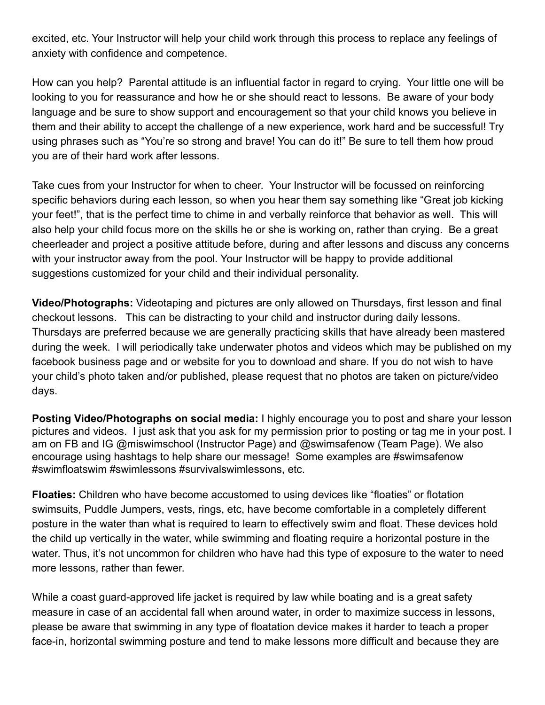excited, etc. Your Instructor will help your child work through this process to replace any feelings of anxiety with confidence and competence.

How can you help? Parental attitude is an influential factor in regard to crying. Your little one will be looking to you for reassurance and how he or she should react to lessons. Be aware of your body language and be sure to show support and encouragement so that your child knows you believe in them and their ability to accept the challenge of a new experience, work hard and be successful! Try using phrases such as "You're so strong and brave! You can do it!" Be sure to tell them how proud you are of their hard work after lessons.

Take cues from your Instructor for when to cheer. Your Instructor will be focussed on reinforcing specific behaviors during each lesson, so when you hear them say something like "Great job kicking your feet!", that is the perfect time to chime in and verbally reinforce that behavior as well. This will also help your child focus more on the skills he or she is working on, rather than crying. Be a great cheerleader and project a positive attitude before, during and after lessons and discuss any concerns with your instructor away from the pool. Your Instructor will be happy to provide additional suggestions customized for your child and their individual personality.

**Video/Photographs:** Videotaping and pictures are only allowed on Thursdays, first lesson and final checkout lessons. This can be distracting to your child and instructor during daily lessons. Thursdays are preferred because we are generally practicing skills that have already been mastered during the week. I will periodically take underwater photos and videos which may be published on my facebook business page and or website for you to download and share. If you do not wish to have your child's photo taken and/or published, please request that no photos are taken on picture/video days.

**Posting Video/Photographs on social media:** I highly encourage you to post and share your lesson pictures and videos. I just ask that you ask for my permission prior to posting or tag me in your post. I am on FB and IG @miswimschool (Instructor Page) and @swimsafenow (Team Page). We also encourage using hashtags to help share our message! Some examples are #swimsafenow #swimfloatswim #swimlessons #survivalswimlessons, etc.

**Floaties:** Children who have become accustomed to using devices like "floaties" or flotation swimsuits, Puddle Jumpers, vests, rings, etc, have become comfortable in a completely different posture in the water than what is required to learn to effectively swim and float. These devices hold the child up vertically in the water, while swimming and floating require a horizontal posture in the water. Thus, it's not uncommon for children who have had this type of exposure to the water to need more lessons, rather than fewer.

While a coast guard-approved life jacket is required by law while boating and is a great safety measure in case of an accidental fall when around water, in order to maximize success in lessons, please be aware that swimming in any type of floatation device makes it harder to teach a proper face-in, horizontal swimming posture and tend to make lessons more difficult and because they are